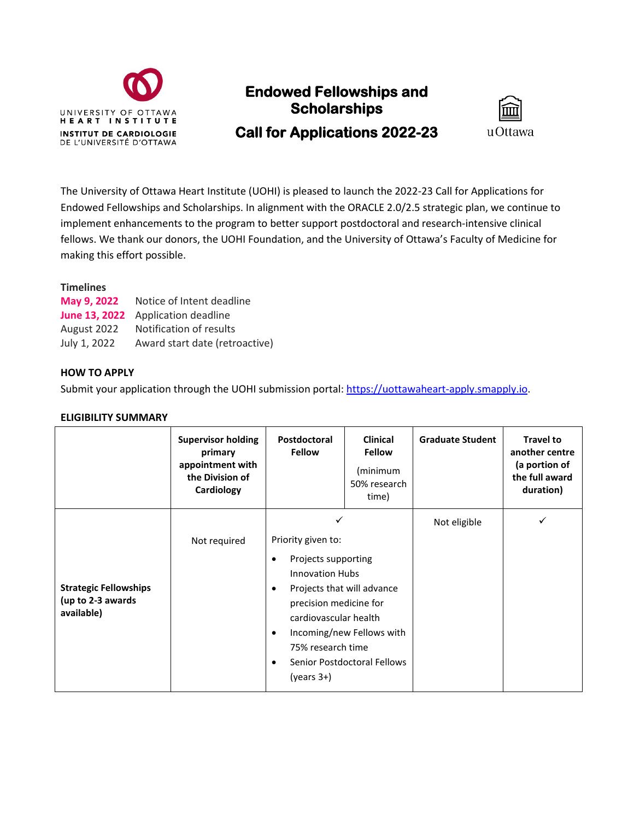

# **Endowed Fellowships and Scholarships Call for Applications 2022-23**



The University of Ottawa Heart Institute (UOHI) is pleased to launch the 2022-23 Call for Applications for Endowed Fellowships and Scholarships. In alignment with the ORACLE 2.0/2.5 strategic plan, we continue to implement enhancements to the program to better support postdoctoral and research-intensive clinical fellows. We thank our donors, the UOHI Foundation, and the University of Ottawa's Faculty of Medicine for making this effort possible.

# **Timelines**

|              | May 9, 2022 Notice of Intent deadline |  |  |  |
|--------------|---------------------------------------|--|--|--|
|              | June 13, 2022 Application deadline    |  |  |  |
|              | August 2022 Notification of results   |  |  |  |
| July 1, 2022 | Award start date (retroactive)        |  |  |  |

## **HOW TO APPLY**

Submit your application through the UOHI submission portal[: https://uottawaheart-apply.smapply.io.](https://uottawaheart-apply.smapply.io/)

#### **ELIGIBILITY SUMMARY**

|                                                                 | <b>Supervisor holding</b><br>primary<br>appointment with<br>the Division of<br>Cardiology | Postdoctoral<br><b>Fellow</b>                                                                                                                                                                                                                                                | <b>Clinical</b><br><b>Fellow</b><br>(minimum<br>50% research<br>time) | <b>Graduate Student</b> | <b>Travel to</b><br>another centre<br>(a portion of<br>the full award<br>duration) |
|-----------------------------------------------------------------|-------------------------------------------------------------------------------------------|------------------------------------------------------------------------------------------------------------------------------------------------------------------------------------------------------------------------------------------------------------------------------|-----------------------------------------------------------------------|-------------------------|------------------------------------------------------------------------------------|
|                                                                 |                                                                                           | ✓                                                                                                                                                                                                                                                                            |                                                                       | Not eligible            | ✓                                                                                  |
| <b>Strategic Fellowships</b><br>(up to 2-3 awards<br>available) | Not required                                                                              | Priority given to:<br>Projects supporting<br><b>Innovation Hubs</b><br>Projects that will advance<br>٠<br>precision medicine for<br>cardiovascular health<br>Incoming/new Fellows with<br>٠<br>75% research time<br>Senior Postdoctoral Fellows<br>$\bullet$<br>$(years 3+)$ |                                                                       |                         |                                                                                    |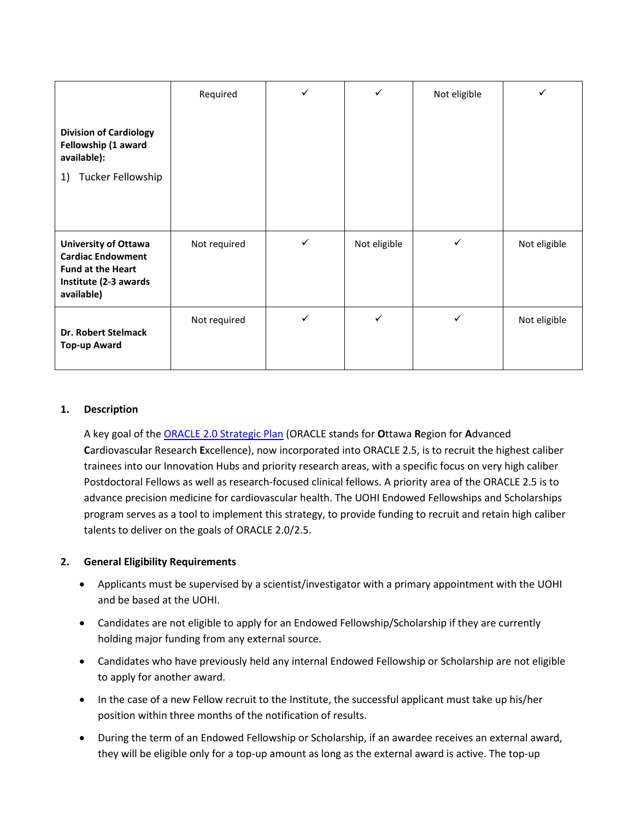|                                                                                                                            | Required     | ✓            | ✓            | Not eligible |              |
|----------------------------------------------------------------------------------------------------------------------------|--------------|--------------|--------------|--------------|--------------|
| <b>Division of Cardiology</b><br>Fellowship (1 award<br>available):<br>Tucker Fellowship<br>1)                             |              |              |              |              |              |
| <b>University of Ottawa</b><br><b>Cardiac Endowment</b><br><b>Fund at the Heart</b><br>Institute (2-3 awards<br>available) | Not required | $\checkmark$ | Not eligible | ✓            | Not eligible |
| <b>Dr. Robert Stelmack</b><br>Top-up Award                                                                                 | Not required | ✓            | ✓            | ✓            | Not eligible |

## **1. Description**

A key goal of the [ORACLE 2.0 Strategic Plan](https://www.ottawaheart.ca/researchers/cardiovascular-research-ottawa/about-our-research) (ORACLE stands for **O**ttawa **R**egion for **A**dvanced **C**ardiovascu**l**ar Research **E**xcellence), now incorporated into ORACLE 2.5, is to recruit the highest caliber trainees into our Innovation Hubs and priority research areas, with a specific focus on very high caliber Postdoctoral Fellows as well as research-focused clinical fellows. A priority area of the ORACLE 2.5 is to advance precision medicine for cardiovascular health. The UOHI Endowed Fellowships and Scholarships program serves as a tool to implement this strategy, to provide funding to recruit and retain high caliber talents to deliver on the goals of ORACLE 2.0/2.5.

# **2. General Eligibility Requirements**

- Applicants must be supervised by a scientist/investigator with a primary appointment with the UOHI and be based at the UOHI.
- Candidates are not eligible to apply for an Endowed Fellowship/Scholarship if they are currently holding major funding from any external source.
- Candidates who have previously held any internal Endowed Fellowship or Scholarship are not eligible to apply for another award.
- In the case of a new Fellow recruit to the Institute, the successful applicant must take up his/her position within three months of the notification of results.
- During the term of an Endowed Fellowship or Scholarship, if an awardee receives an external award, they will be eligible only for a top-up amount as long as the external award is active. The top-up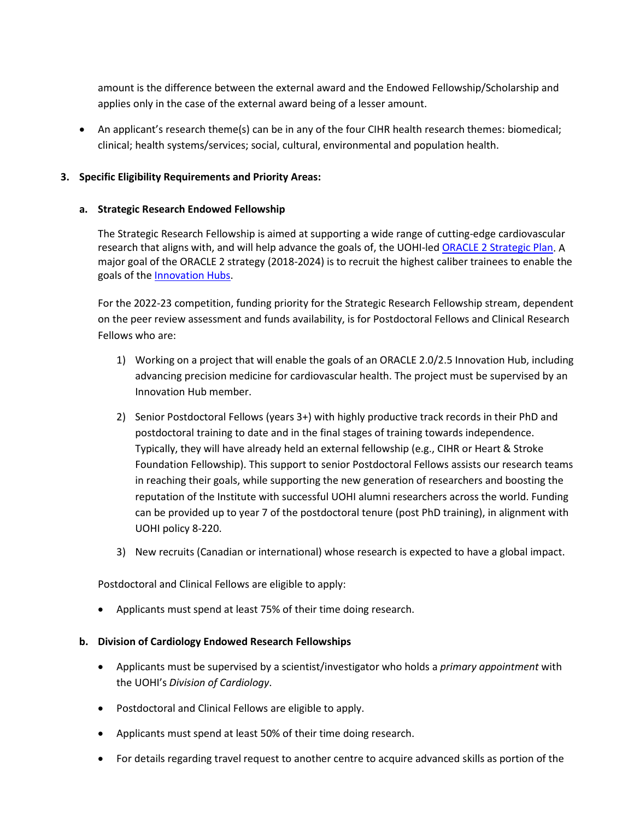amount is the difference between the external award and the Endowed Fellowship/Scholarship and applies only in the case of the external award being of a lesser amount.

• An applicant's research theme(s) can be in any of the four CIHR health research themes: biomedical; clinical; health systems/services; social, cultural, environmental and population health.

# **3. Specific Eligibility Requirements and Priority Areas:**

# **a. Strategic Research Endowed Fellowship**

The Strategic Research Fellowship is aimed at supporting a wide range of cutting-edge cardiovascular research that aligns with, and will help advance the goals of, the UOHI-led [ORACLE 2 Strategic Plan.](https://www.ottawaheart.ca/researchers/cardiovascular-research-ottawa/about-our-research) A major goal of the ORACLE 2 strategy (2018-2024) is to recruit the highest caliber trainees to enable the goals of the [Innovation Hubs.](https://www.ottawaheart.ca/researchers/innovation-hubs)

For the 2022-23 competition, funding priority for the Strategic Research Fellowship stream, dependent on the peer review assessment and funds availability, is for Postdoctoral Fellows and Clinical Research Fellows who are:

- 1) Working on a project that will enable the goals of an ORACLE 2.0/2.5 Innovation Hub, including advancing precision medicine for cardiovascular health. The project must be supervised by an Innovation Hub member.
- 2) Senior Postdoctoral Fellows (years 3+) with highly productive track records in their PhD and postdoctoral training to date and in the final stages of training towards independence. Typically, they will have already held an external fellowship (e.g., CIHR or Heart & Stroke Foundation Fellowship). This support to senior Postdoctoral Fellows assists our research teams in reaching their goals, while supporting the new generation of researchers and boosting the reputation of the Institute with successful UOHI alumni researchers across the world. Funding can be provided up to year 7 of the postdoctoral tenure (post PhD training), in alignment with UOHI policy 8-220.
- 3) New recruits (Canadian or international) whose research is expected to have a global impact.

Postdoctoral and Clinical Fellows are eligible to apply:

• Applicants must spend at least 75% of their time doing research.

#### **b. Division of Cardiology Endowed Research Fellowships**

- Applicants must be supervised by a scientist/investigator who holds a *primary appointment* with the UOHI's *Division of Cardiology*.
- Postdoctoral and Clinical Fellows are eligible to apply.
- Applicants must spend at least 50% of their time doing research.
- For details regarding travel request to another centre to acquire advanced skills as portion of the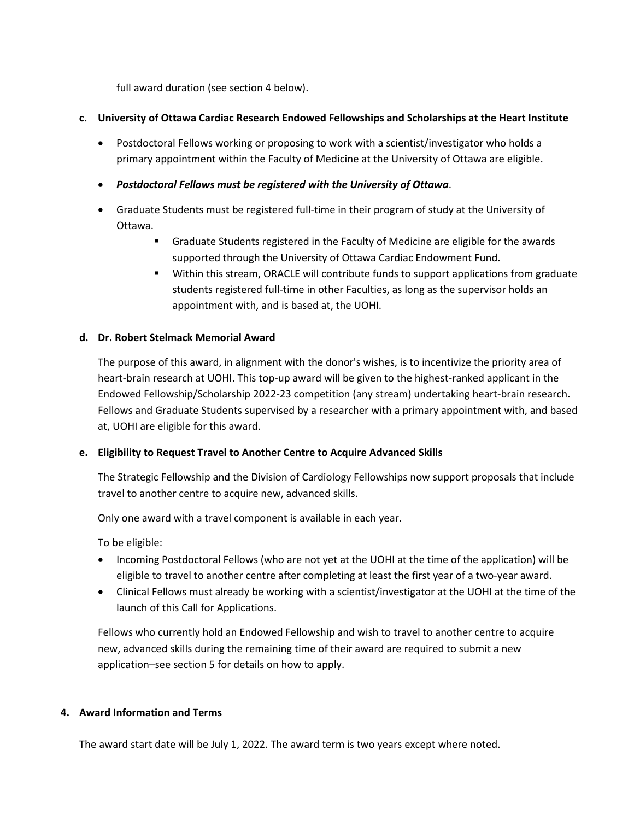full award duration (see section 4 below).

# **c. University of Ottawa Cardiac Research Endowed Fellowships and Scholarships at the Heart Institute**

- Postdoctoral Fellows working or proposing to work with a scientist/investigator who holds a primary appointment within the Faculty of Medicine at the University of Ottawa are eligible.
- *Postdoctoral Fellows must be registered with the University of Ottawa*.
- Graduate Students must be registered full-time in their program of study at the University of Ottawa.
	- Graduate Students registered in the Faculty of Medicine are eligible for the awards supported through the University of Ottawa Cardiac Endowment Fund.
	- Within this stream, ORACLE will contribute funds to support applications from graduate students registered full-time in other Faculties, as long as the supervisor holds an appointment with, and is based at, the UOHI.

## **d. Dr. Robert Stelmack Memorial Award**

The purpose of this award, in alignment with the donor's wishes, is to incentivize the priority area of heart-brain research at UOHI. This top-up award will be given to the highest-ranked applicant in the Endowed Fellowship/Scholarship 2022-23 competition (any stream) undertaking heart-brain research. Fellows and Graduate Students supervised by a researcher with a primary appointment with, and based at, UOHI are eligible for this award.

# **e. Eligibility to Request Travel to Another Centre to Acquire Advanced Skills**

The Strategic Fellowship and the Division of Cardiology Fellowships now support proposals that include travel to another centre to acquire new, advanced skills.

Only one award with a travel component is available in each year.

To be eligible:

- Incoming Postdoctoral Fellows (who are not yet at the UOHI at the time of the application) will be eligible to travel to another centre after completing at least the first year of a two-year award.
- Clinical Fellows must already be working with a scientist/investigator at the UOHI at the time of the launch of this Call for Applications.

Fellows who currently hold an Endowed Fellowship and wish to travel to another centre to acquire new, advanced skills during the remaining time of their award are required to submit a new application–see section 5 for details on how to apply.

#### **4. Award Information and Terms**

The award start date will be July 1, 2022. The award term is two years except where noted.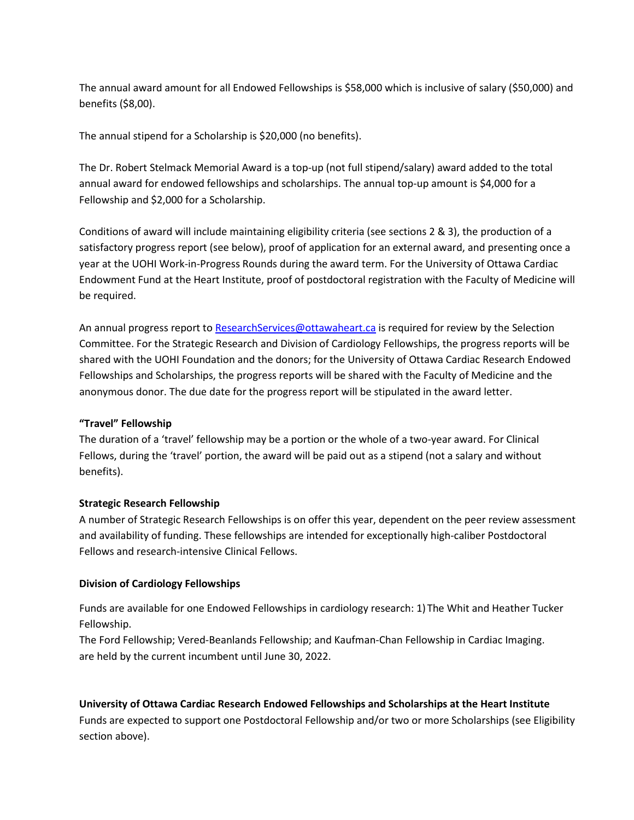The annual award amount for all Endowed Fellowships is \$58,000 which is inclusive of salary (\$50,000) and benefits (\$8,00).

The annual stipend for a Scholarship is \$20,000 (no benefits).

The Dr. Robert Stelmack Memorial Award is a top-up (not full stipend/salary) award added to the total annual award for endowed fellowships and scholarships. The annual top-up amount is \$4,000 for a Fellowship and \$2,000 for a Scholarship.

Conditions of award will include maintaining eligibility criteria (see sections 2 & 3), the production of a satisfactory progress report (see below), proof of application for an external award, and presenting once a year at the UOHI Work-in-Progress Rounds during the award term. For the University of Ottawa Cardiac Endowment Fund at the Heart Institute, proof of postdoctoral registration with the Faculty of Medicine will be required.

An annual progress report to [ResearchServices@ottawaheart.ca](mailto:ResearchServices@ottawaheart.ca) is required for review by the Selection Committee. For the Strategic Research and Division of Cardiology Fellowships, the progress reports will be shared with the UOHI Foundation and the donors; for the University of Ottawa Cardiac Research Endowed Fellowships and Scholarships, the progress reports will be shared with the Faculty of Medicine and the anonymous donor. The due date for the progress report will be stipulated in the award letter.

#### **"Travel" Fellowship**

The duration of a 'travel' fellowship may be a portion or the whole of a two-year award. For Clinical Fellows, during the 'travel' portion, the award will be paid out as a stipend (not a salary and without benefits).

#### **Strategic Research Fellowship**

A number of Strategic Research Fellowships is on offer this year, dependent on the peer review assessment and availability of funding. These fellowships are intended for exceptionally high-caliber Postdoctoral Fellows and research-intensive Clinical Fellows.

#### **Division of Cardiology Fellowships**

Funds are available for one Endowed Fellowships in cardiology research: 1) The Whit and Heather Tucker Fellowship.

The Ford Fellowship; Vered-Beanlands Fellowship; and Kaufman-Chan Fellowship in Cardiac Imaging. are held by the current incumbent until June 30, 2022.

# **University of Ottawa Cardiac Research Endowed Fellowships and Scholarships at the Heart Institute**

Funds are expected to support one Postdoctoral Fellowship and/or two or more Scholarships (see Eligibility section above).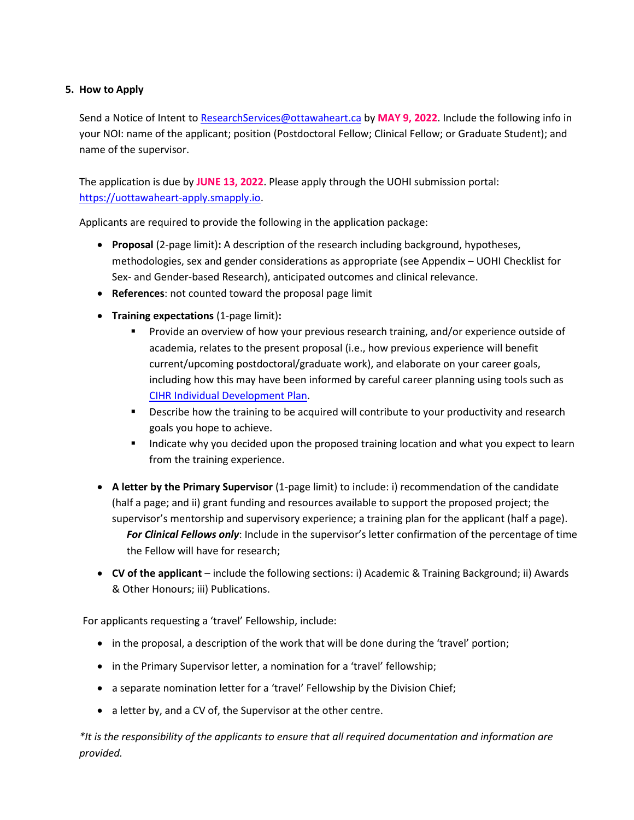# **5. How to Apply**

Send a Notice of Intent to [ResearchServices@ottawaheart.ca](mailto:ResearchServices@ottawaheart.ca) by **MAY 9, 2022**. Include the following info in your NOI: name of the applicant; position (Postdoctoral Fellow; Clinical Fellow; or Graduate Student); and name of the supervisor.

The application is due by **JUNE 13, 2022**. Please apply through the UOHI submission portal: [https://uottawaheart-apply.smapply.io.](https://uottawaheart-apply.smapply.io/)

Applicants are required to provide the following in the application package:

- **Proposal** (2-page limit)**:** A description of the research including background, hypotheses, methodologies, sex and gender considerations as appropriate (see Appendix – UOHI Checklist for Sex- and Gender-based Research), anticipated outcomes and clinical relevance.
- **References**: not counted toward the proposal page limit
- **Training expectations** (1-page limit)**:**
	- **Provide an overview of how your previous research training, and/or experience outside of** academia, relates to the present proposal (i.e., how previous experience will benefit current/upcoming postdoctoral/graduate work), and elaborate on your career goals, including how this may have been informed by careful career planning using tools such as [CIHR Individual Development Plan.](https://cihr-irsc.gc.ca/e/documents/training_idp_form-en.pdf)
	- **Describe how the training to be acquired will contribute to your productivity and research** goals you hope to achieve.
	- Indicate why you decided upon the proposed training location and what you expect to learn from the training experience.
- **A letter by the Primary Supervisor** (1-page limit) to include: i) recommendation of the candidate (half a page; and ii) grant funding and resources available to support the proposed project; the supervisor's mentorship and supervisory experience; a training plan for the applicant (half a page). *For Clinical Fellows only*: Include in the supervisor's letter confirmation of the percentage of time the Fellow will have for research;
- **CV of the applicant** include the following sections: i) Academic & Training Background; ii) Awards & Other Honours; iii) Publications.

For applicants requesting a 'travel' Fellowship, include:

- in the proposal, a description of the work that will be done during the 'travel' portion;
- in the Primary Supervisor letter, a nomination for a 'travel' fellowship;
- a separate nomination letter for a 'travel' Fellowship by the Division Chief;
- a letter by, and a CV of, the Supervisor at the other centre.

*\*It is the responsibility of the applicants to ensure that all required documentation and information are provided.*